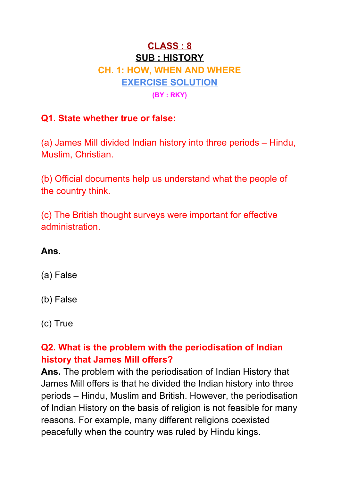# **CLASS : 8 SUB : HISTORY CH. 1: HOW, WHEN AND WHERE EXERCISE SOLUTION (BY : RKY)**

### **Q1. State whether true or false:**

(a) James Mill divided Indian history into three periods – Hindu, Muslim, Christian.

(b) Official documents help us understand what the people of the country think.

(c) The British thought surveys were important for effective administration.

### **Ans.**

- (a) False
- (b) False
- (c) True

## **Q2. What is the problem with the periodisation of Indian history that James Mill offers?**

**Ans.** The problem with the periodisation of Indian History that James Mill offers is that he divided the Indian history into three periods – Hindu, Muslim and British. However, the periodisation of Indian History on the basis of religion is not feasible for many reasons. For example, many different religions coexisted peacefully when the country was ruled by Hindu kings.